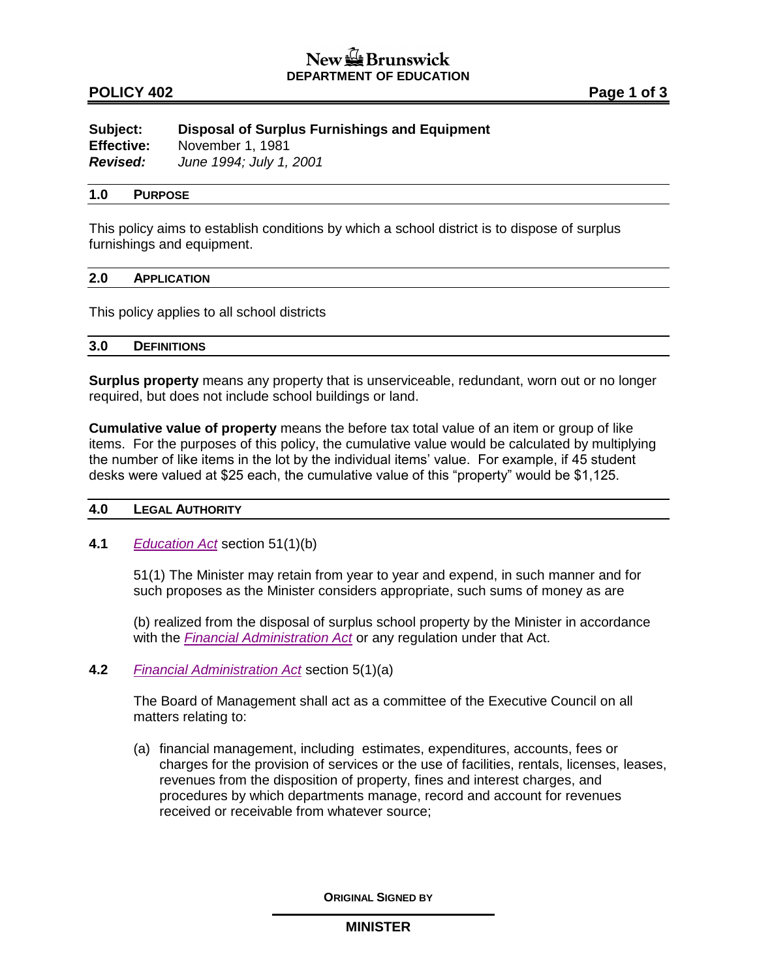### **POLICY 402 Page 1 of 3**

| Subject:          | Disposal of Surplus Furnishings and Equipment |
|-------------------|-----------------------------------------------|
| <b>Effective:</b> | November 1, 1981                              |
| <b>Revised:</b>   | June 1994; July 1, 2001                       |

#### **1.0 PURPOSE**

This policy aims to establish conditions by which a school district is to dispose of surplus furnishings and equipment.

#### **2.0 APPLICATION**

This policy applies to all school districts

#### **3.0 DEFINITIONS**

**Surplus property** means any property that is unserviceable, redundant, worn out or no longer required, but does not include school buildings or land.

**Cumulative value of property** means the before tax total value of an item or group of like items. For the purposes of this policy, the cumulative value would be calculated by multiplying the number of like items in the lot by the individual items' value. For example, if 45 student desks were valued at \$25 each, the cumulative value of this "property" would be \$1,125.

### **4.0 LEGAL AUTHORITY**

**4.1** *[Education Act](http://laws.gnb.ca/en/ShowPdf/cs/E-1.12.pdf)* section 51(1)(b)

51(1) The Minister may retain from year to year and expend, in such manner and for such proposes as the Minister considers appropriate, such sums of money as are

(b) realized from the disposal of surplus school property by the Minister in accordance with the *[Financial Administration Act](http://laws.gnb.ca/en/ShowPdf/cs/2011-c.160.pdf)* or any regulation under that Act.

**4.2** *[Financial Administration Act](http://laws.gnb.ca/en/ShowPdf/cs/2011-c.160.pdf)* section 5(1)(a)

The Board of Management shall act as a committee of the Executive Council on all matters relating to:

(a) financial management, including estimates, expenditures, accounts, fees or charges for the provision of services or the use of facilities, rentals, licenses, leases, revenues from the disposition of property, fines and interest charges, and procedures by which departments manage, record and account for revenues received or receivable from whatever source;

**ORIGINAL SIGNED BY**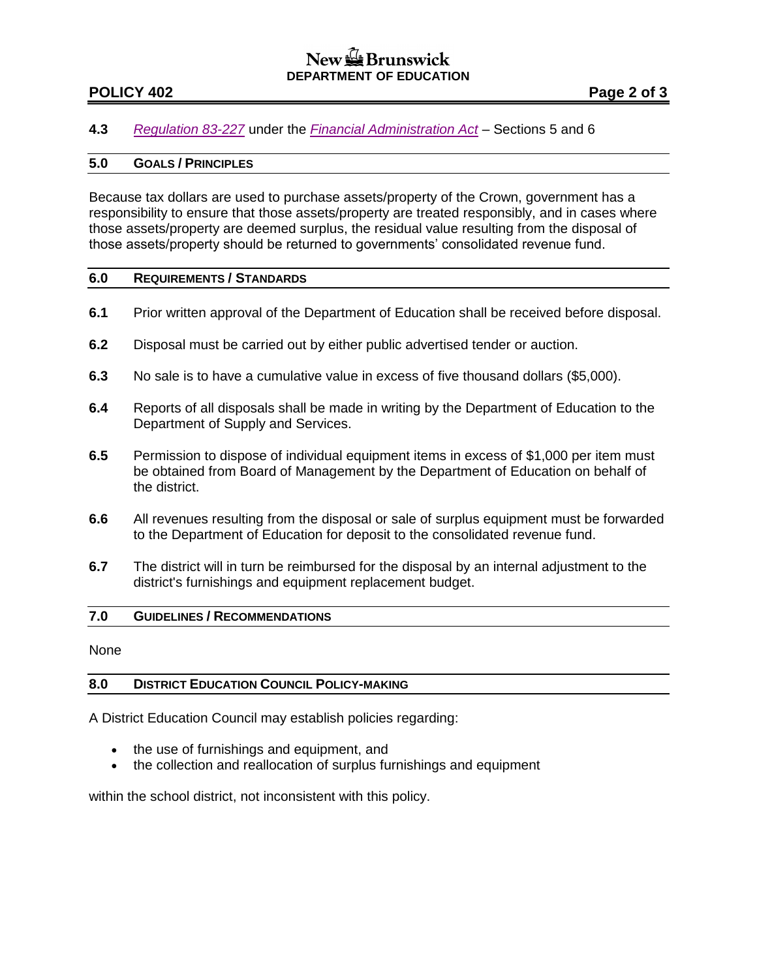## New & Brunswick **DEPARTMENT OF EDUCATION**

## **POLICY 402 Page 2 of 3**

### **4.3** *[Regulation 83-227](http://laws.gnb.ca/en/ShowPdf/cr/83-227.pdf)* under the *[Financial Administration Act](http://laws.gnb.ca/en/ShowPdf/cs/2011-c.160.pdf) –* Sections 5 and 6

#### **5.0 GOALS / PRINCIPLES**

Because tax dollars are used to purchase assets/property of the Crown, government has a responsibility to ensure that those assets/property are treated responsibly, and in cases where those assets/property are deemed surplus, the residual value resulting from the disposal of those assets/property should be returned to governments' consolidated revenue fund.

#### **6.0 REQUIREMENTS / STANDARDS**

- **6.1** Prior written approval of the Department of Education shall be received before disposal.
- **6.2** Disposal must be carried out by either public advertised tender or auction.
- **6.3** No sale is to have a cumulative value in excess of five thousand dollars (\$5,000).
- **6.4** Reports of all disposals shall be made in writing by the Department of Education to the Department of Supply and Services.
- **6.5** Permission to dispose of individual equipment items in excess of \$1,000 per item must be obtained from Board of Management by the Department of Education on behalf of the district.
- **6.6** All revenues resulting from the disposal or sale of surplus equipment must be forwarded to the Department of Education for deposit to the consolidated revenue fund.
- **6.7** The district will in turn be reimbursed for the disposal by an internal adjustment to the district's furnishings and equipment replacement budget.

### **7.0 GUIDELINES / RECOMMENDATIONS**

None

### **8.0 DISTRICT EDUCATION COUNCIL POLICY-MAKING**

A District Education Council may establish policies regarding:

- the use of furnishings and equipment, and
- the collection and reallocation of surplus furnishings and equipment

within the school district, not inconsistent with this policy.